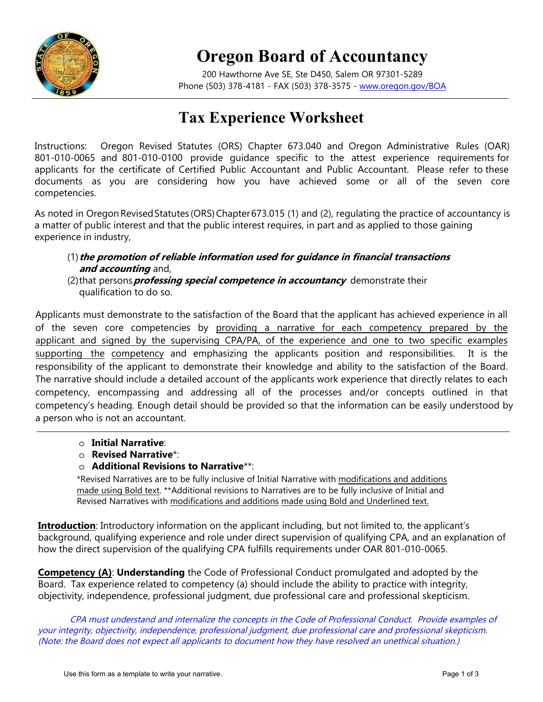

## **Oregon Board of Accountancy**

200 Hawthorne Ave SE, Ste D450, Salem OR 97301-5289 Phone (503) 378-4181 - FAX (503) 378-3575 - www.oregon.gov/BOA

## **Tax Experience Worksheet**

Instructions: Oregon Revised Statutes (ORS) Chapter 673.040 and Oregon Administrative Rules (OAR) 801-010-0065 and 801-010-0100 provide guidance specific to the attest experience requirements for applicants for the certificate of Certified Public Accountant and Public Accountant. Please refer to these documents as you are considering how you have achieved some or all of the seven core competencies.

As noted in Oregon Revised Statutes (ORS) Chapter 673.015 (1) and (2), regulating the practice of accountancy is a matter of public interest and that the public interest requires, in part and as applied to those gaining experience in industry,

## (1)**the promotion of reliable information used for guidance in financial transactions and accounting** and,

(2)that persons **professing special competence in accountancy** demonstrate their qualification to do so.

Applicants must demonstrate to the satisfaction of the Board that the applicant has achieved experience in all of the seven core competencies by providing a narrative for each competency prepared by the applicant and signed by the supervising CPA/PA, of the experience and one to two specific examples supporting the competency and emphasizing the applicants position and responsibilities. It is the responsibility of the applicant to demonstrate their knowledge and ability to the satisfaction of the Board. The narrative should include a detailed account of the applicants work experience that directly relates to each competency, encompassing and addressing all of the processes and/or concepts outlined in that competency's heading. Enough detail should be provided so that the information can be easily understood by a person who is not an accountant.

- o **Initial Narrative**:
- o **Revised Narrative**\*:
- o **Additional Revisions to Narrative**\*\*:

\*Revised Narratives are to be fully inclusive of Initial Narrative with modifications and additions made using Bold text. \*\*Additional revisions to Narratives are to be fully inclusive of Initial and Revised Narratives with modifications and additions made using Bold and Underlined text.

**Introduction**: Introductory information on the applicant including, but not limited to, the applicant's background, qualifying experience and role under direct supervision of qualifying CPA, and an explanation of how the direct supervision of the qualifying CPA fulfills requirements under OAR 801-010-0065.

**Competency (A)**: **Understanding** the Code of Professional Conduct promulgated and adopted by the Board. Tax experience related to competency (a) should include the ability to practice with integrity, objectivity, independence, professional judgment, due professional care and professional skepticism.

CPA must understand and internalize the concepts in the Code of Professional Conduct. Provide examples of your integrity, objectivity, independence, professional judgment, due professional care and professional skepticism. (Note: the Board does not expect all applicants to document how they have resolved an unethical situation.)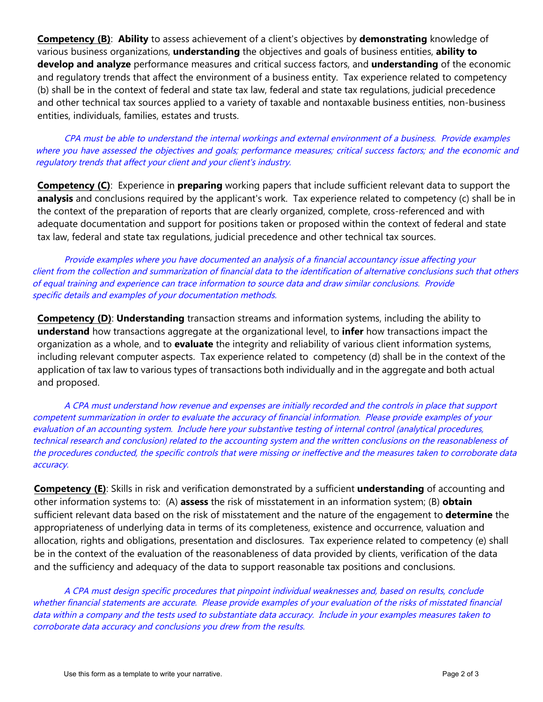**Competency (B)**: **Ability** to assess achievement of a client's objectives by **demonstrating** knowledge of various business organizations, **understanding** the objectives and goals of business entities, **ability to develop and analyze** performance measures and critical success factors, and **understanding** of the economic and regulatory trends that affect the environment of a business entity. Tax experience related to competency (b) shall be in the context of federal and state tax law, federal and state tax regulations, judicial precedence and other technical tax sources applied to a variety of taxable and nontaxable business entities, non-business entities, individuals, families, estates and trusts.

CPA must be able to understand the internal workings and external environment of a business. Provide examples where you have assessed the objectives and goals; performance measures; critical success factors; and the economic and regulatory trends that affect your client and your client's industry.

**Competency (C)**: Experience in **preparing** working papers that include sufficient relevant data to support the **analysis** and conclusions required by the applicant's work. Tax experience related to competency (c) shall be in the context of the preparation of reports that are clearly organized, complete, cross-referenced and with adequate documentation and support for positions taken or proposed within the context of federal and state tax law, federal and state tax regulations, judicial precedence and other technical tax sources.

Provide examples where you have documented an analysis of a financial accountancy issue affecting your client from the collection and summarization of financial data to the identification of alternative conclusions such that others of equal training and experience can trace information to source data and draw similar conclusions. Provide specific details and examples of your documentation methods.

**Competency (D)**: **Understanding** transaction streams and information systems, including the ability to **understand** how transactions aggregate at the organizational level, to **infer** how transactions impact the organization as a whole, and to **evaluate** the integrity and reliability of various client information systems, including relevant computer aspects. Tax experience related to competency (d) shall be in the context of the application of tax law to various types of transactions both individually and in the aggregate and both actual and proposed.

A CPA must understand how revenue and expenses are initially recorded and the controls in place that support competent summarization in order to evaluate the accuracy of financial information. Please provide examples of your evaluation of an accounting system. Include here your substantive testing of internal control (analytical procedures, technical research and conclusion) related to the accounting system and the written conclusions on the reasonableness of the procedures conducted, the specific controls that were missing or ineffective and the measures taken to corroborate data accuracy.

**Competency (E)**: Skills in risk and verification demonstrated by a sufficient **understanding** of accounting and other information systems to: (A) **assess** the risk of misstatement in an information system; (B) **obtain** sufficient relevant data based on the risk of misstatement and the nature of the engagement to **determine** the appropriateness of underlying data in terms of its completeness, existence and occurrence, valuation and allocation, rights and obligations, presentation and disclosures. Tax experience related to competency (e) shall be in the context of the evaluation of the reasonableness of data provided by clients, verification of the data and the sufficiency and adequacy of the data to support reasonable tax positions and conclusions.

A CPA must design specific procedures that pinpoint individual weaknesses and, based on results, conclude whether financial statements are accurate. Please provide examples of your evaluation of the risks of misstated financial data within a company and the tests used to substantiate data accuracy. Include in your examples measures taken to corroborate data accuracy and conclusions you drew from the results.